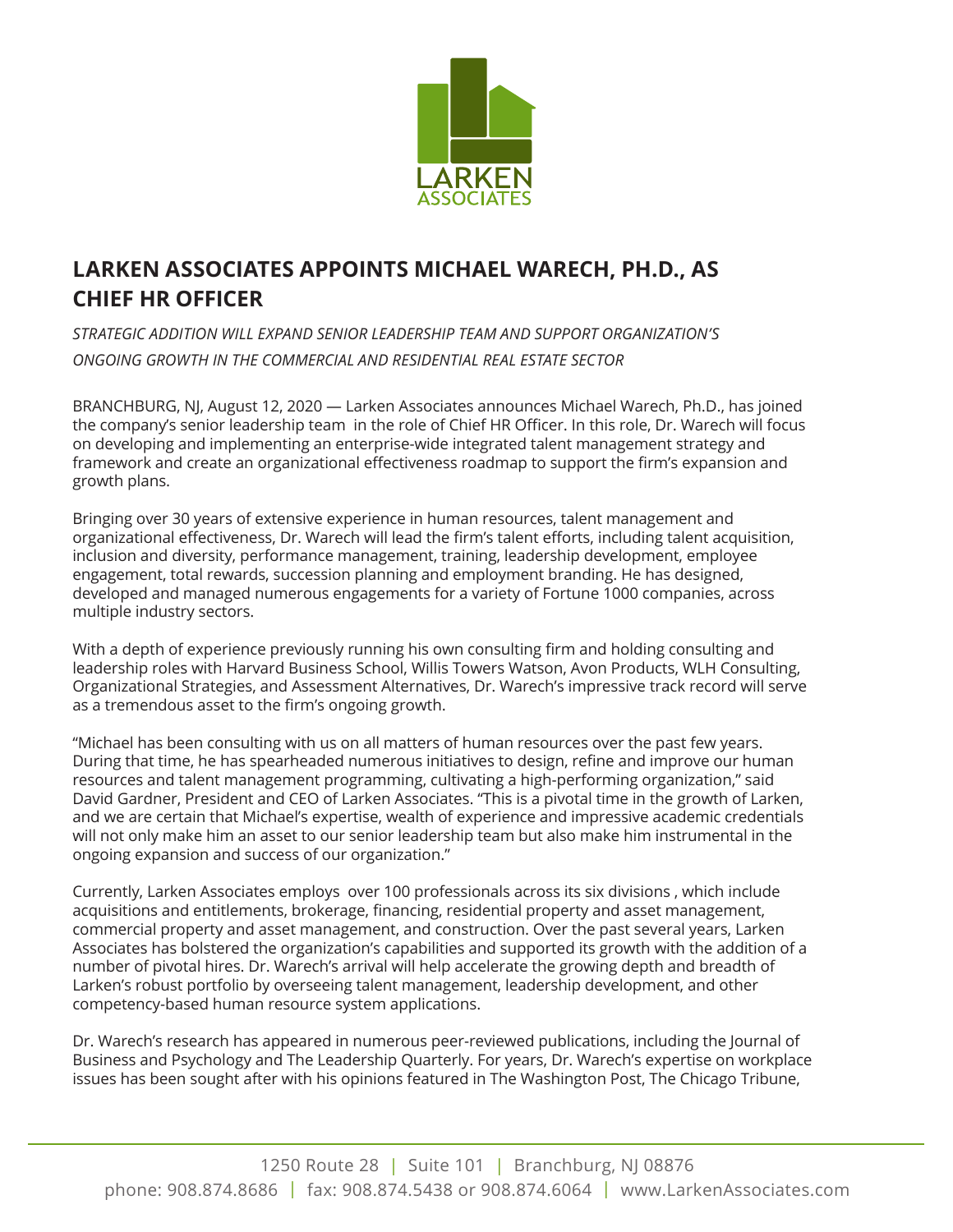

## **LARKEN ASSOCIATES APPOINTS MICHAEL WARECH, PH.D., AS CHIEF HR OFFICER**

*STRATEGIC ADDITION WILL EXPAND SENIOR LEADERSHIP TEAM AND SUPPORT ORGANIZATION'S ONGOING GROWTH IN THE COMMERCIAL AND RESIDENTIAL REAL ESTATE SECTOR*

BRANCHBURG, NJ, August 12, 2020 — Larken Associates announces Michael Warech, Ph.D., has joined the company's senior leadership team in the role of Chief HR Officer. In this role, Dr. Warech will focus on developing and implementing an enterprise-wide integrated talent management strategy and framework and create an organizational effectiveness roadmap to support the firm's expansion and growth plans.

Bringing over 30 years of extensive experience in human resources, talent management and organizational effectiveness, Dr. Warech will lead the firm's talent efforts, including talent acquisition, inclusion and diversity, performance management, training, leadership development, employee engagement, total rewards, succession planning and employment branding. He has designed, developed and managed numerous engagements for a variety of Fortune 1000 companies, across multiple industry sectors.

With a depth of experience previously running his own consulting firm and holding consulting and leadership roles with Harvard Business School, Willis Towers Watson, Avon Products, WLH Consulting, Organizational Strategies, and Assessment Alternatives, Dr. Warech's impressive track record will serve as a tremendous asset to the firm's ongoing growth.

"Michael has been consulting with us on all matters of human resources over the past few years. During that time, he has spearheaded numerous initiatives to design, refine and improve our human resources and talent management programming, cultivating a high-performing organization," said David Gardner, President and CEO of Larken Associates. "This is a pivotal time in the growth of Larken, and we are certain that Michael's expertise, wealth of experience and impressive academic credentials will not only make him an asset to our senior leadership team but also make him instrumental in the ongoing expansion and success of our organization."

Currently, Larken Associates employs over 100 professionals across its six divisions , which include acquisitions and entitlements, brokerage, financing, residential property and asset management, commercial property and asset management, and construction. Over the past several years, Larken Associates has bolstered the organization's capabilities and supported its growth with the addition of a number of pivotal hires. Dr. Warech's arrival will help accelerate the growing depth and breadth of Larken's robust portfolio by overseeing talent management, leadership development, and other competency-based human resource system applications.

Dr. Warech's research has appeared in numerous peer-reviewed publications, including the Journal of Business and Psychology and The Leadership Quarterly. For years, Dr. Warech's expertise on workplace issues has been sought after with his opinions featured in The Washington Post, The Chicago Tribune,